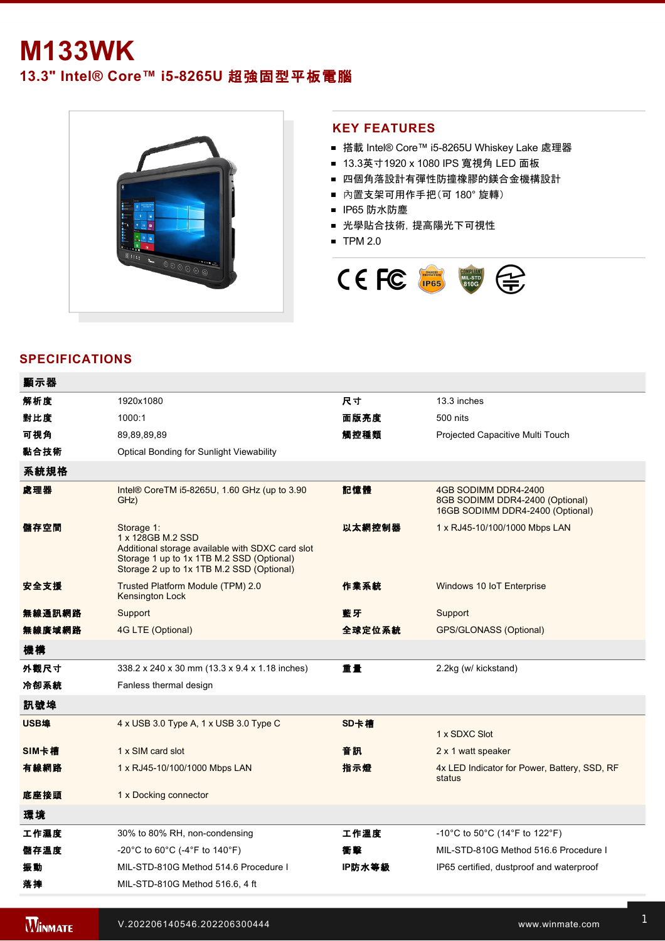# **M133WK**

# **13.3"** Intel® Core™ i5-8265U 超強固型平板電腦



#### **KEY FEATURES**

- 搭載 Intel® Core™ i5-8265U Whiskey Lake 處理器
- 13.3英寸1920 x 1080 IPS 寬視角 LED 面板
- 四個角落設計有彈性防撞橡膠的鎂合金機構設計
- 內置支架可用作手把(可 180° 旋轉)
- IP65 防水防塵
- 光學貼合技術,提高陽光下可視性
- $\blacksquare$  TPM 2.0



## **SPECIFICATIONS**

| 解析度    | 1920x1080                                                                                                                                                                     | 尺寸     | 13.3 inches                                                                                 |
|--------|-------------------------------------------------------------------------------------------------------------------------------------------------------------------------------|--------|---------------------------------------------------------------------------------------------|
| 對比度    | 1000:1                                                                                                                                                                        | 面版亮度   | 500 nits                                                                                    |
| 可視角    | 89,89,89,89                                                                                                                                                                   | 觸控種類   | Projected Capacitive Multi Touch                                                            |
| 黏合技術   | Optical Bonding for Sunlight Viewability                                                                                                                                      |        |                                                                                             |
| 系統規格   |                                                                                                                                                                               |        |                                                                                             |
| 處理器    | Intel <sup>®</sup> Core TM i5-8265U, 1.60 GHz (up to 3.90<br>GHz)                                                                                                             | 記憶體    | 4GB SODIMM DDR4-2400<br>8GB SODIMM DDR4-2400 (Optional)<br>16GB SODIMM DDR4-2400 (Optional) |
| 儲存空間   | Storage 1:<br>1 x 128GB M.2 SSD<br>Additional storage available with SDXC card slot<br>Storage 1 up to 1x 1TB M.2 SSD (Optional)<br>Storage 2 up to 1x 1TB M.2 SSD (Optional) | 以太網控制器 | 1 x RJ45-10/100/1000 Mbps LAN                                                               |
| 安全支援   | Trusted Platform Module (TPM) 2.0<br><b>Kensington Lock</b>                                                                                                                   | 作業系統   | Windows 10 IoT Enterprise                                                                   |
| 無線通訊網路 | Support                                                                                                                                                                       | 藍牙     | Support                                                                                     |
| 無線廣域網路 | 4G LTE (Optional)                                                                                                                                                             | 全球定位系統 | <b>GPS/GLONASS (Optional)</b>                                                               |
| 機構     |                                                                                                                                                                               |        |                                                                                             |
| 外觀尺寸   | 338.2 x 240 x 30 mm (13.3 x 9.4 x 1.18 inches)                                                                                                                                | 重量     | 2.2kg (w/ kickstand)                                                                        |
| 冷卻系統   | Fanless thermal design                                                                                                                                                        |        |                                                                                             |
| 訊號埠    |                                                                                                                                                                               |        |                                                                                             |
| USB埠   | 4 x USB 3.0 Type A, 1 x USB 3.0 Type C                                                                                                                                        | SD卡槽   | 1 x SDXC Slot                                                                               |
| SIM卡槽  | 1 x SIM card slot                                                                                                                                                             | 音訊     | 2 x 1 watt speaker                                                                          |
| 有線網路   | 1 x RJ45-10/100/1000 Mbps LAN                                                                                                                                                 | 指示燈    | 4x LED Indicator for Power, Battery, SSD, RF<br>status                                      |
| 底座接頭   | 1 x Docking connector                                                                                                                                                         |        |                                                                                             |
| 環境     |                                                                                                                                                                               |        |                                                                                             |
| 工作濕度   | 30% to 80% RH, non-condensing                                                                                                                                                 | 工作溫度   | -10°C to 50°C (14°F to 122°F)                                                               |
| 儲存溫度   | -20°C to 60°C (-4°F to 140°F)                                                                                                                                                 | 衝擊     | MIL-STD-810G Method 516.6 Procedure I                                                       |
| 振動     | MIL-STD-810G Method 514.6 Procedure I                                                                                                                                         | IP防水等級 | IP65 certified, dustproof and waterproof                                                    |
| 落摔     | MIL-STD-810G Method 516.6, 4 ft                                                                                                                                               |        |                                                                                             |

**WINMATE 安全性 医血管** 

認證